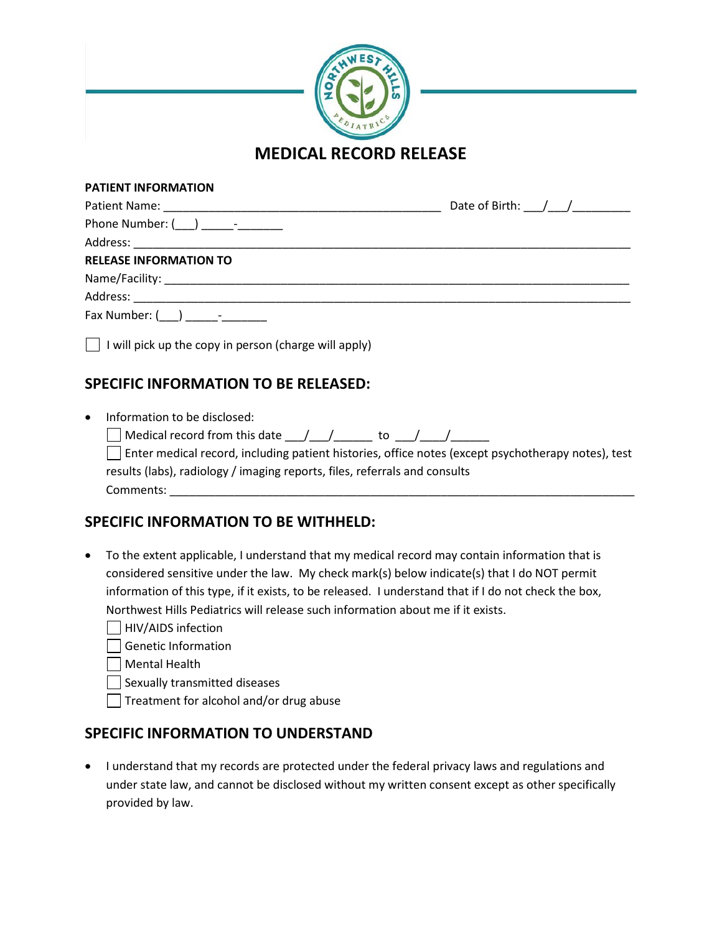

#### **PATIENT INFORMATION**

|                                                                     | Date of Birth: $\frac{1}{\sqrt{1-\frac{1}{2}}}\$ |
|---------------------------------------------------------------------|--------------------------------------------------|
|                                                                     |                                                  |
|                                                                     |                                                  |
| <b>RELEASE INFORMATION TO</b>                                       |                                                  |
|                                                                     |                                                  |
|                                                                     |                                                  |
| Fax Number: $($ $)$ $-$                                             |                                                  |
| $\vert \vert$ I will pick up the copy in person (charge will apply) |                                                  |

## **SPECIFIC INFORMATION TO BE RELEASED:**

| $\bullet$ | Information to be disclosed:                                                                       |  |  |
|-----------|----------------------------------------------------------------------------------------------------|--|--|
|           | $\Box$ Medical record from this date $\Box$ / to / /                                               |  |  |
|           | Enter medical record, including patient histories, office notes (except psychotherapy notes), test |  |  |
|           | results (labs), radiology / imaging reports, files, referrals and consults                         |  |  |
|           | Comments:                                                                                          |  |  |

### **SPECIFIC INFORMATION TO BE WITHHELD:**

- To the extent applicable, I understand that my medical record may contain information that is considered sensitive under the law. My check mark(s) below indicate(s) that I do NOT permit information of this type, if it exists, to be released. I understand that if I do not check the box, Northwest Hills Pediatrics will release such information about me if it exists.
	- $\Box$  HIV/AIDS infection
	- Genetic Information
	- Mental Health
	- $\Box$  Sexually transmitted diseases
	- $\Box$  Treatment for alcohol and/or drug abuse

### **SPECIFIC INFORMATION TO UNDERSTAND**

• I understand that my records are protected under the federal privacy laws and regulations and under state law, and cannot be disclosed without my written consent except as other specifically provided by law.